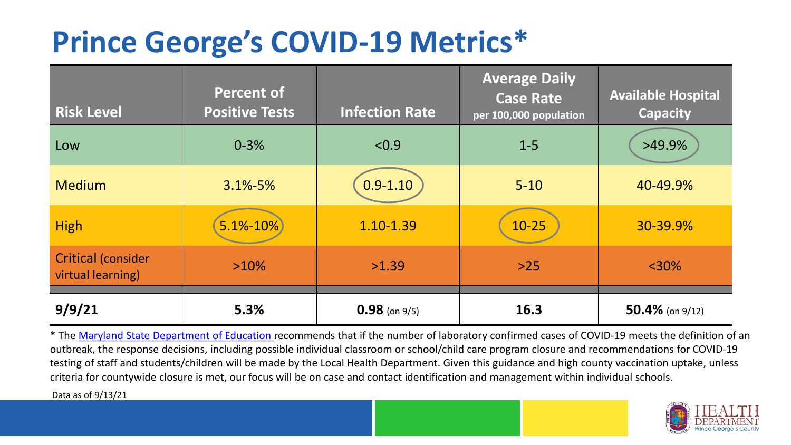## **Prince George's COVID-19 Metrics\***

| <b>Risk Level</b>                              | <b>Percent of</b><br><b>Positive Tests</b> | <b>Infection Rate</b> | <b>Average Daily</b><br><b>Case Rate</b><br>per 100,000 population | <b>Available Hospital</b><br><b>Capacity</b> |
|------------------------------------------------|--------------------------------------------|-----------------------|--------------------------------------------------------------------|----------------------------------------------|
| Low                                            | $0 - 3%$                                   | < 0.9                 | $1 - 5$                                                            | $>49.9\%$                                    |
| <b>Medium</b>                                  | $3.1\% - 5\%$                              | $0.9 - 1.10$          | $5 - 10$                                                           | 40-49.9%                                     |
| <b>High</b>                                    | $5.1\% - 10\%$                             | 1.10-1.39             | $10 - 25$                                                          | 30-39.9%                                     |
| <b>Critical (consider</b><br>virtual learning) | $>10\%$                                    | >1.39                 | $>25$                                                              | $<$ 30%                                      |
| 9/9/21                                         | 5.3%                                       | $0.98$ (on 9/5)       | 16.3                                                               | 50.4% (on $9/12$ )                           |

\* The [Maryland State Department of Education r](https://earlychildhood.marylandpublicschools.org/system/files/filedepot/3/covid_guidance_full_080420.pdf)ecommends that if the number of laboratory confirmed cases of COVID-19 meets the definition of an outbreak, the response decisions, including possible individual classroom or school/child care program closure and recommendations for COVID-19 testing of staff and students/children will be made by the Local Health Department. Given this guidance and high county vaccination uptake, unless criteria for countywide closure is met, our focus will be on case and contact identification and management within individual schools.

Data as of 9/13/21

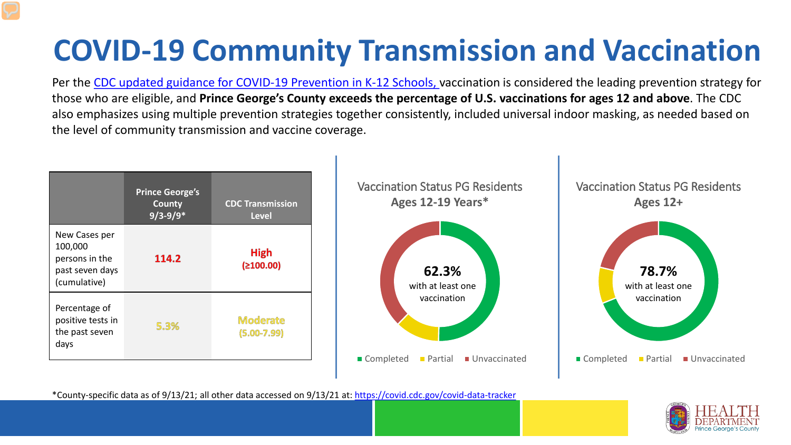# **COVID-19 Community Transmission and Vaccination**

Per the [CDC updated guidance for COVID-19 Prevention in K-12 Schools,](https://www.cdc.gov/coronavirus/2019-ncov/community/schools-childcare/k-12-guidance.html) vaccination is considered the leading prevention strategy for those who are eligible, and **Prince George's County exceeds the percentage of U.S. vaccinations for ages 12 and above**. The CDC also emphasizes using multiple prevention strategies together consistently, included universal indoor masking, as needed based on the level of community transmission and vaccine coverage.



\*County-specific data as of 9/13/21; all other data accessed on 9/13/21 at:<https://covid.cdc.gov/covid-data-tracker>

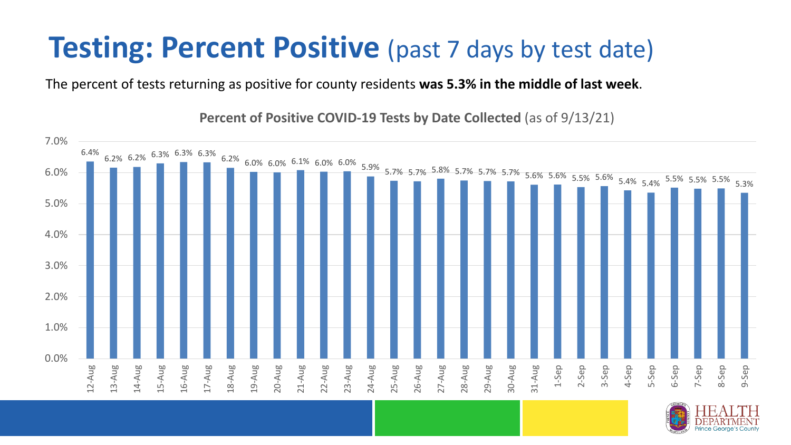### **Testing: Percent Positive** (past 7 days by test date)

The percent of tests returning as positive for county residents **was 5.3% in the middle of last week**.

6.4%  $6.2\%$   $6.3\%$   $6.3\%$   $6.3\%$   $6.2\%$   $6.0\%$   $6.0\%$   $6.0\%$   $6.0\%$   $5.9\%$   $5.7\%$  5.7% 5.7% 5.7% 5.7% 5.7% 5.7% 5.6% 5.6% 5.6% 5.6% 5.6% 5.4% 5.4% 5.5% 5.5% 5.5% 5.5% 5.3% 5.3% 0.0% 1.0% 2.0% 3.0% 4.0% 5.0% 6.0% 7.0% 12-Aug 13-Aug 14-Aug 15-Aug 16-Aug 17-Aug 18-Aug 19-Aug 20-Aug 21-Aug 22-Aug 23-Aug 24-Aug 25-Aug 26-Aug 27-Aug 28-Aug 29-Aug 30-Aug 31-Aug 1-Sep 2-Sep 3-Sep 4-Sep 5-Sep 6-Sep 7-Sep 8-Sep 9-Sep

**Percent of Positive COVID-19 Tests by Date Collected** (as of 9/13/21)

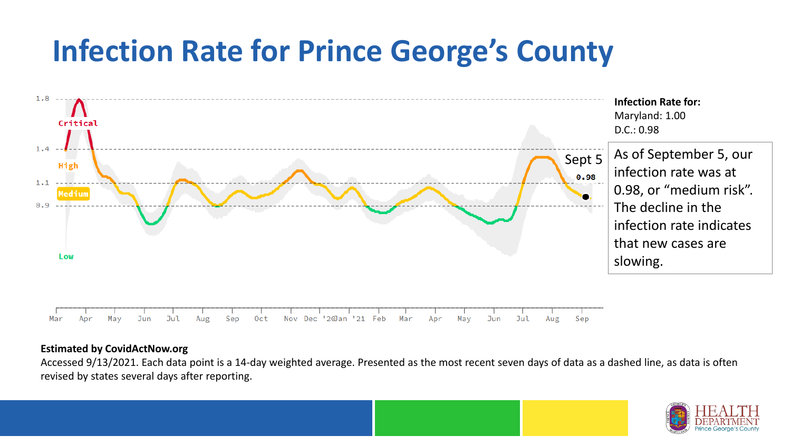## **Infection Rate for Prince George's County**



#### **Estimated by CovidActNow.org**

Accessed 9/13/2021. Each data point is a 14-day weighted average. Presented as the most recent seven days of data as a dashed line, as data is often revised by states several days after reporting.

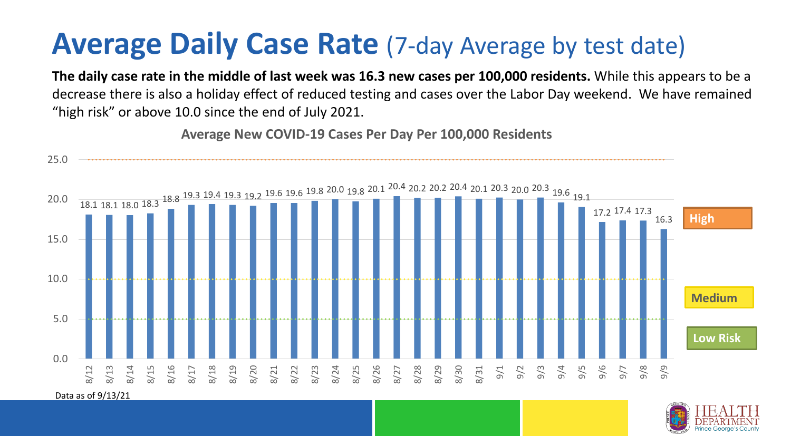### **Average Daily Case Rate** (7-day Average by test date)

**The daily case rate in the middle of last week was 16.3 new cases per 100,000 residents.** While this appears to be a decrease there is also a holiday effect of reduced testing and cases over the Labor Day weekend. We have remained "high risk" or above 10.0 since the end of July 2021.

**Average New COVID-19 Cases Per Day Per 100,000 Residents**

25.0